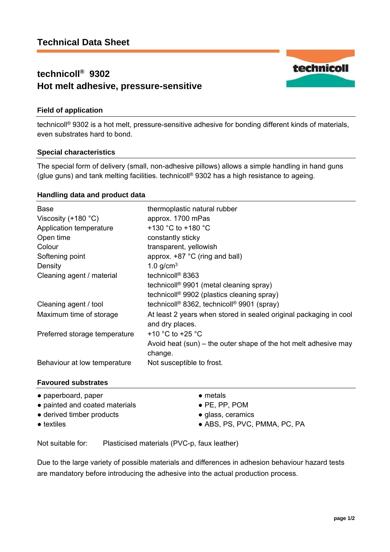# **technicoll® 9302 Hot melt adhesive, pressure-sensitive**

### **Field of application**

technicoll® 9302 is a hot melt, pressure-sensitive adhesive for bonding different kinds of materials, even substrates hard to bond.

#### **Special characteristics**

The special form of delivery (small, non-adhesive pillows) allows a simple handling in hand guns (glue guns) and tank melting facilities. technicoll® 9302 has a high resistance to ageing.

#### **Handling data and product data**

| Base                          | thermoplastic natural rubber                                                         |
|-------------------------------|--------------------------------------------------------------------------------------|
| Viscosity $(+180 °C)$         | approx. 1700 mPas                                                                    |
| Application temperature       | +130 °C to +180 °C                                                                   |
| Open time                     | constantly sticky                                                                    |
| Colour                        | transparent, yellowish                                                               |
| Softening point               | approx. $+87$ °C (ring and ball)                                                     |
| Density                       | 1.0 $g/cm3$                                                                          |
| Cleaning agent / material     | technicoll <sup>®</sup> 8363                                                         |
|                               | technicoll <sup>®</sup> 9901 (metal cleaning spray)                                  |
|                               | technicoll <sup>®</sup> 9902 (plastics cleaning spray)                               |
| Cleaning agent / tool         | technicoll <sup>®</sup> 8362, technicoll <sup>®</sup> 9901 (spray)                   |
| Maximum time of storage       | At least 2 years when stored in sealed original packaging in cool<br>and dry places. |
| Preferred storage temperature | +10 $^{\circ}$ C to +25 $^{\circ}$ C                                                 |
|                               | Avoid heat (sun) – the outer shape of the hot melt adhesive may<br>change.           |
| Behaviour at low temperature  | Not susceptible to frost.                                                            |

#### **Favoured substrates**

| $\bullet$ paperboard, paper    | $\bullet$ metals             |
|--------------------------------|------------------------------|
| • painted and coated materials | $\bullet$ PE, PP, POM        |
| • derived timber products      | • glass, ceramics            |
| $\bullet$ textiles             | • ABS, PS, PVC, PMMA, PC, PA |

Not suitable for: Plasticised materials (PVC-p, faux leather)

Due to the large variety of possible materials and differences in adhesion behaviour hazard tests are mandatory before introducing the adhesive into the actual production process.

technicoll